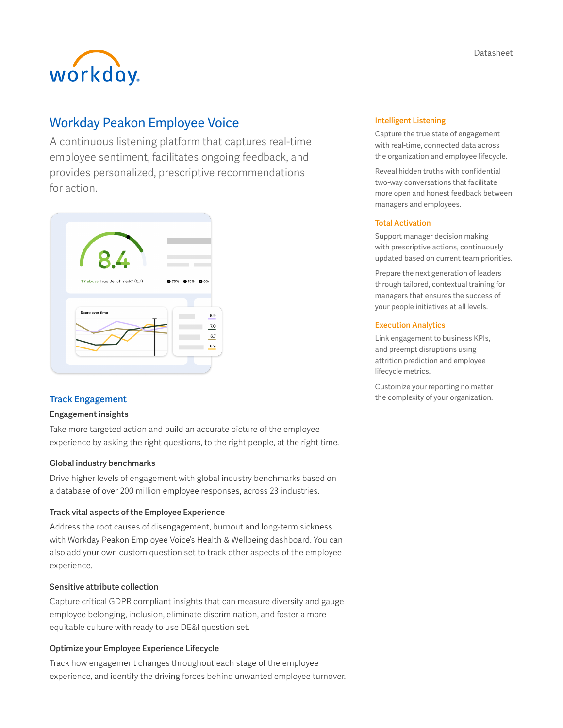workday.

# Workday Peakon Employee Voice

A continuous listening platform that captures real-time employee sentiment, facilitates ongoing feedback, and provides personalized, prescriptive recommendations for action.



# Track Engagement

# Engagement insights

Take more targeted action and build an accurate picture of the employee experience by asking the right questions, to the right people, at the right time.

# Global industry benchmarks

Drive higher levels of engagement with global industry benchmarks based on a database of over 200 million employee responses, across 23 industries.

#### Track vital aspects of the Employee Experience

Address the root causes of disengagement, burnout and long-term sickness with Workday Peakon Employee Voice's Health & Wellbeing dashboard. You can also add your own custom question set to track other aspects of the employee experience.

### Sensitive attribute collection

Capture critical GDPR compliant insights that can measure diversity and gauge employee belonging, inclusion, eliminate discrimination, and foster a more equitable culture with ready to use DE&I question set.

# Optimize your Employee Experience Lifecycle

Track how engagement changes throughout each stage of the employee experience, and identify the driving forces behind unwanted employee turnover.

#### Intelligent Listening

Capture the true state of engagement with real-time, connected data across the organization and employee lifecycle.

Reveal hidden truths with confidential two-way conversations that facilitate more open and honest feedback between managers and employees.

### Total Activation

Support manager decision making with prescriptive actions, continuously updated based on current team priorities.

Prepare the next generation of leaders through tailored, contextual training for managers that ensures the success of your people initiatives at all levels.

#### Execution Analytics

Link engagement to business KPIs, and preempt disruptions using attrition prediction and employee lifecycle metrics.

Customize your reporting no matter the complexity of your organization.

Datasheet